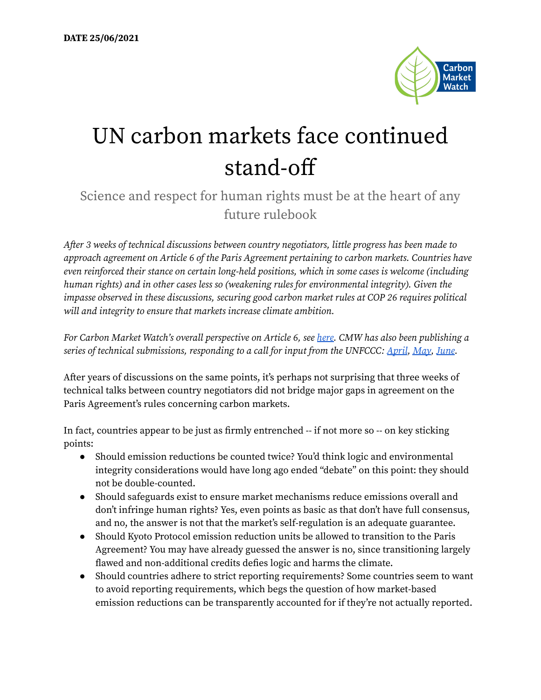

## UN carbon markets face continued stand-off

## Science and respect for human rights must be at the heart of any future rulebook

After 3 weeks of technical discussions between country negotiators, little progress has been made to approach agreement on Article 6 of the Paris Agreement pertaining to carbon markets. Countries have even reinforced their stance on certain long-held positions, which in some cases is welcome (including human rights) and in other cases less so (weakening rules for environmental integrity). Given the impasse observed in these discussions, securing good carbon market rules at COP 26 requires political will and integrity to ensure that markets increase climate ambition.

For Carbon Market Watch's overall perspective on Article 6, see [here.](https://carbonmarketwatch.org/publications/carbon-markets-101-the-ultimate-guide-to-global-offsetting-mechanisms/) CMW has also been publishing a series of technical submissions, responding to a call for input from the UNFCCC: [April](https://carbonmarketwatch.org/publications/carbon-market-watch-input-to-sbsta-on-matters-related-to-article-6-of-the-paris-agreement/), [May](https://carbonmarketwatch.org/publications/carbon-market-watch-input-to-sbsta-on-matters-related-to-article-6-of-the-paris-agreement-2/), [June.](https://carbonmarketwatch.org/publications/carbon-market-watch-input-to-sbsta-on-matters-related-to-article-6-of-the-paris-agreement-3/)

After years of discussions on the same points, it's perhaps not surprising that three weeks of technical talks between country negotiators did not bridge major gaps in agreement on the Paris Agreement's rules concerning carbon markets.

In fact, countries appear to be just as firmly entrenched -- if not more so -- on key sticking points:

- Should emission reductions be counted twice? You'd think logic and environmental integrity considerations would have long ago ended "debate" on this point: they should not be double-counted.
- Should safeguards exist to ensure market mechanisms reduce emissions overall and don't infringe human rights? Yes, even points as basic as that don't have full consensus, and no, the answer is not that the market's self-regulation is an adequate guarantee.
- Should Kyoto Protocol emission reduction units be allowed to transition to the Paris Agreement? You may have already guessed the answer is no, since transitioning largely flawed and non-additional credits defies logic and harms the climate.
- Should countries adhere to strict reporting requirements? Some countries seem to want to avoid reporting requirements, which begs the question of how market-based emission reductions can be transparently accounted for if they're not actually reported.